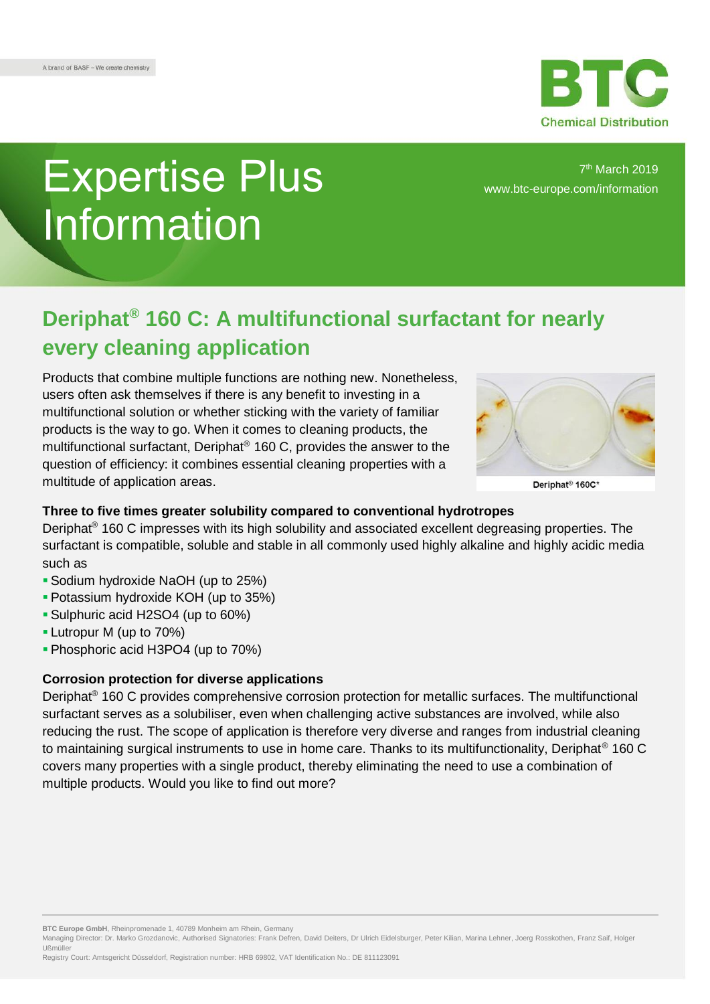

# Expertise Plus Information

7 th March 2019 [www.btc-europe.com/information](https://www.btc-europe.com/en/DE/newsletter-form/)

## **Deriphat® 160 C: A multifunctional surfactant for nearly every cleaning application**

Products that combine multiple functions are nothing new. Nonetheless, users often ask themselves if there is any benefit to investing in a multifunctional solution or whether sticking with the variety of familiar products is the way to go. When it comes to cleaning products, the multifunctional surfactant, Deriphat® 160 C, provides the answer to the question of efficiency: it combines essential cleaning properties with a multitude of application areas.



Deriphat<sup>®</sup> 160C\*

### **Three to five times greater solubility compared to conventional hydrotropes**

Deriphat® 160 C impresses with its high solubility and associated excellent degreasing properties. The surfactant is compatible, soluble and stable in all commonly used highly alkaline and highly acidic media such as

- Sodium hydroxide NaOH (up to 25%)
- Potassium hydroxide KOH (up to 35%)
- Sulphuric acid H2SO4 (up to 60%)
- **Lutropur M (up to 70%)**
- Phosphoric acid H3PO4 (up to 70%)

#### **Corrosion protection for diverse applications**

Deriphat® 160 C provides comprehensive corrosion protection for metallic surfaces. The multifunctional surfactant serves as a solubiliser, even when challenging active substances are involved, while also reducing the rust. The scope of application is therefore very diverse and ranges from industrial cleaning to maintaining surgical instruments to use in home care. Thanks to its multifunctionality, Deriphat® 160 C covers many properties with a single product, thereby eliminating the need to use a combination of multiple products. Would you like to find out more?

**BTC Europe GmbH**, Rheinpromenade 1, 40789 Monheim am Rhein, Germany

Managing Director: Dr. Marko Grozdanovic, Authorised Signatories: Frank Defren, David Deiters, Dr Ulrich Eidelsburger, Peter Kilian, Marina Lehner, Joerg Rosskothen, Franz Saif, Holger Ußmüller

Registry Court: Amtsgericht Düsseldorf, Registration number: HRB 69802, VAT Identification No.: DE 811123091